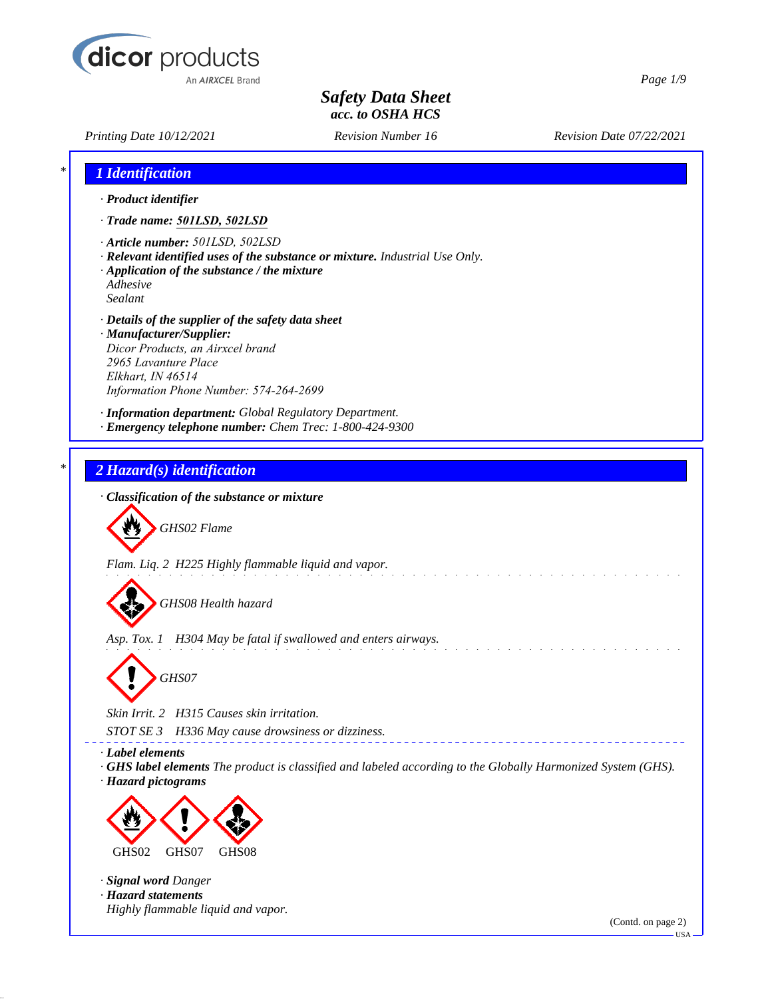

*Printing Date 10/12/2021 Revision Number 16 Revision Date 07/22/2021*

*Page 1/9*

| 1 Identification                                                                                                                                                                                          |                                                                                                                    |                    |
|-----------------------------------------------------------------------------------------------------------------------------------------------------------------------------------------------------------|--------------------------------------------------------------------------------------------------------------------|--------------------|
| · Product identifier                                                                                                                                                                                      |                                                                                                                    |                    |
| · Trade name: 501LSD, 502LSD                                                                                                                                                                              |                                                                                                                    |                    |
| · Article number: 501LSD, 502LSD<br>· Application of the substance / the mixture<br>Adhesive<br>Sealant                                                                                                   | · Relevant identified uses of the substance or mixture. Industrial Use Only.                                       |                    |
| · Details of the supplier of the safety data sheet<br>· Manufacturer/Supplier:<br>Dicor Products, an Airxcel brand<br>2965 Lavanture Place<br>Elkhart, IN 46514<br>Information Phone Number: 574-264-2699 |                                                                                                                    |                    |
|                                                                                                                                                                                                           | · Information department: Global Regulatory Department.<br>· Emergency telephone number: Chem Trec: 1-800-424-9300 |                    |
| 2 Hazard(s) identification                                                                                                                                                                                |                                                                                                                    |                    |
| · Classification of the substance or mixture                                                                                                                                                              |                                                                                                                    |                    |
|                                                                                                                                                                                                           |                                                                                                                    |                    |
| GHS02 Flame                                                                                                                                                                                               |                                                                                                                    |                    |
|                                                                                                                                                                                                           | Flam. Liq. 2 H225 Highly flammable liquid and vapor.                                                               |                    |
| GHS08 Health hazard                                                                                                                                                                                       |                                                                                                                    |                    |
|                                                                                                                                                                                                           | Asp. Tox. 1 H304 May be fatal if swallowed and enters airways.                                                     |                    |
|                                                                                                                                                                                                           |                                                                                                                    |                    |
| GHS07                                                                                                                                                                                                     |                                                                                                                    |                    |
| Skin Irrit. 2 H315 Causes skin irritation.                                                                                                                                                                |                                                                                                                    |                    |
| STOT SE 3                                                                                                                                                                                                 | H336 May cause drowsiness or dizziness.                                                                            |                    |
| · Label elements<br>· Hazard pictograms                                                                                                                                                                   | GHS label elements The product is classified and labeled according to the Globally Harmonized System (GHS).        |                    |
| GHS07<br>GHS08<br>GHS02                                                                                                                                                                                   |                                                                                                                    |                    |
| · Signal word Danger                                                                                                                                                                                      |                                                                                                                    |                    |
| · Hazard statements<br>Highly flammable liquid and vapor.                                                                                                                                                 |                                                                                                                    |                    |
|                                                                                                                                                                                                           |                                                                                                                    | (Contd. on page 2) |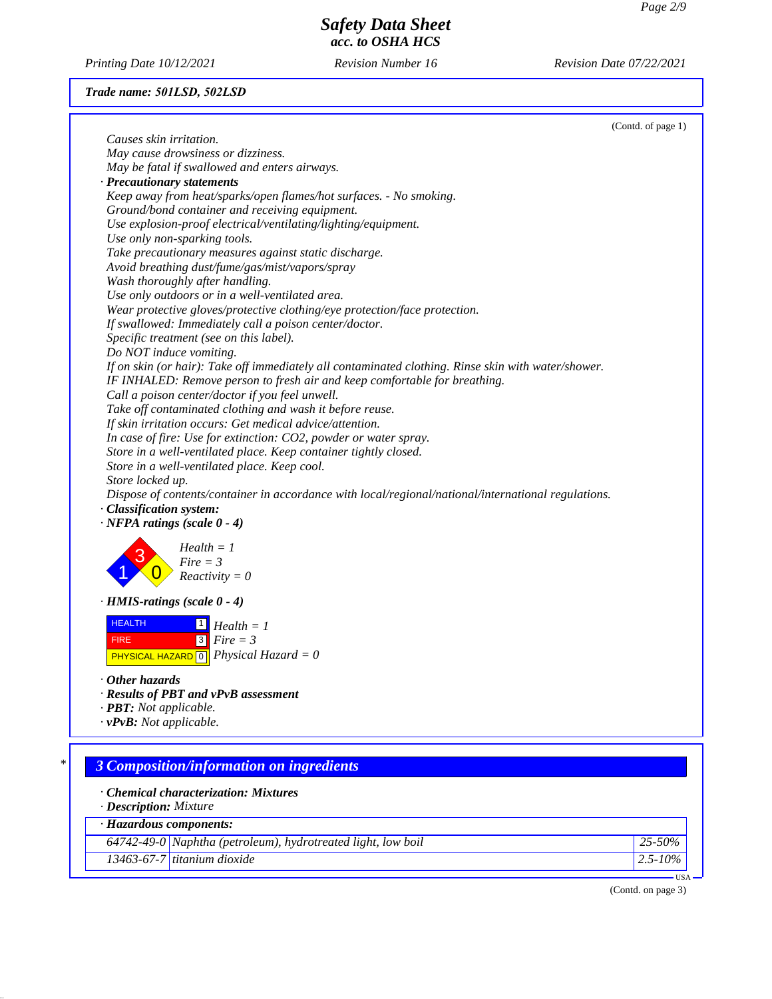*Printing Date 10/12/2021 Revision Number 16 Revision Date 07/22/2021*

# *Trade name: 501LSD, 502LSD*

|                                |                                                                                                     | (Contd. of page 1) |
|--------------------------------|-----------------------------------------------------------------------------------------------------|--------------------|
| Causes skin irritation.        |                                                                                                     |                    |
|                                | May cause drowsiness or dizziness.                                                                  |                    |
|                                | May be fatal if swallowed and enters airways.                                                       |                    |
|                                | · Precautionary statements                                                                          |                    |
|                                | Keep away from heat/sparks/open flames/hot surfaces. - No smoking.                                  |                    |
|                                | Ground/bond container and receiving equipment.                                                      |                    |
|                                | Use explosion-proof electrical/ventilating/lighting/equipment.                                      |                    |
|                                | Use only non-sparking tools.                                                                        |                    |
|                                | Take precautionary measures against static discharge.                                               |                    |
|                                | Avoid breathing dust/fume/gas/mist/vapors/spray                                                     |                    |
|                                | Wash thoroughly after handling.                                                                     |                    |
|                                | Use only outdoors or in a well-ventilated area.                                                     |                    |
|                                | Wear protective gloves/protective clothing/eye protection/face protection.                          |                    |
|                                | If swallowed: Immediately call a poison center/doctor.                                              |                    |
|                                | Specific treatment (see on this label).                                                             |                    |
|                                | Do NOT induce vomiting.                                                                             |                    |
|                                | If on skin (or hair): Take off immediately all contaminated clothing. Rinse skin with water/shower. |                    |
|                                | IF INHALED: Remove person to fresh air and keep comfortable for breathing.                          |                    |
|                                | Call a poison center/doctor if you feel unwell.                                                     |                    |
|                                | Take off contaminated clothing and wash it before reuse.                                            |                    |
|                                | If skin irritation occurs: Get medical advice/attention.                                            |                    |
|                                | In case of fire: Use for extinction: CO2, powder or water spray.                                    |                    |
|                                | Store in a well-ventilated place. Keep container tightly closed.                                    |                    |
|                                | Store in a well-ventilated place. Keep cool.                                                        |                    |
| Store locked up.               |                                                                                                     |                    |
|                                | Dispose of contents/container in accordance with local/regional/national/international regulations. |                    |
| · Classification system:       |                                                                                                     |                    |
|                                | $\cdot$ NFPA ratings (scale 0 - 4)                                                                  |                    |
|                                |                                                                                                     |                    |
|                                | $Health = 1$<br>$Fire = 3$                                                                          |                    |
|                                | $Reactivity = 0$                                                                                    |                    |
|                                |                                                                                                     |                    |
|                                | $\cdot$ HMIS-ratings (scale 0 - 4)                                                                  |                    |
| <b>HEALTH</b>                  |                                                                                                     |                    |
|                                | $Health = 1$                                                                                        |                    |
| <b>FIRE</b>                    | $3$ Fire = 3                                                                                        |                    |
|                                | <b>PHYSICAL HAZARD</b> $\boxed{0}$ <i>Physical Hazard</i> = 0                                       |                    |
| $\cdot$ Other hazards          |                                                                                                     |                    |
|                                | · Results of PBT and vPvB assessment                                                                |                    |
| · <b>PBT</b> : Not applicable. |                                                                                                     |                    |
| $\cdot$ vPvB: Not applicable.  |                                                                                                     |                    |
|                                |                                                                                                     |                    |
|                                |                                                                                                     |                    |
| $\ast$                         | <b>3 Composition/information on ingredients</b>                                                     |                    |
|                                |                                                                                                     |                    |
|                                | Chemical characterization: Mixtures                                                                 |                    |
| · Description: Mixture         |                                                                                                     |                    |
|                                | · Hazardous components:                                                                             |                    |
|                                | 64742-49-0 Naphtha (petroleum), hydrotreated light, low boil                                        | 25-50%             |
|                                | 13463-67-7 titanium dioxide                                                                         | $2.5 - 10\%$       |
|                                |                                                                                                     | USA-               |
|                                |                                                                                                     |                    |

(Contd. on page 3)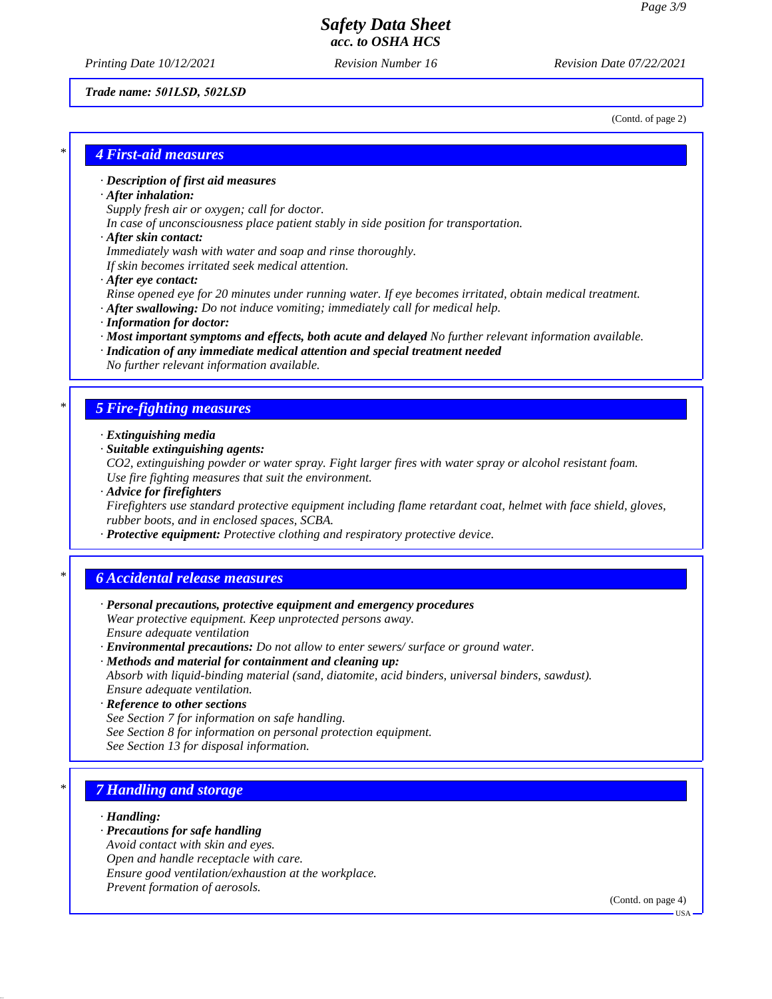*Printing Date 10/12/2021 Revision Number 16 Revision Date 07/22/2021*

### *Trade name: 501LSD, 502LSD*

(Contd. of page 2)

# *\* 4 First-aid measures*

### *· Description of first aid measures*

#### *· After inhalation:*

*Supply fresh air or oxygen; call for doctor.*

*In case of unconsciousness place patient stably in side position for transportation.*

#### *· After skin contact:*

*Immediately wash with water and soap and rinse thoroughly.*

*If skin becomes irritated seek medical attention.*

### *· After eye contact:*

*Rinse opened eye for 20 minutes under running water. If eye becomes irritated, obtain medical treatment. · After swallowing: Do not induce vomiting; immediately call for medical help.*

- 
- *· Information for doctor:*
- *· Most important symptoms and effects, both acute and delayed No further relevant information available.*
- *· Indication of any immediate medical attention and special treatment needed No further relevant information available.*

# *\* 5 Fire-fighting measures*

- *· Extinguishing media*
- *· Suitable extinguishing agents:*

*CO2, extinguishing powder or water spray. Fight larger fires with water spray or alcohol resistant foam. Use fire fighting measures that suit the environment.*

*· Advice for firefighters*

*Firefighters use standard protective equipment including flame retardant coat, helmet with face shield, gloves, rubber boots, and in enclosed spaces, SCBA.*

*· Protective equipment: Protective clothing and respiratory protective device.*

## *\* 6 Accidental release measures*

- *· Personal precautions, protective equipment and emergency procedures Wear protective equipment. Keep unprotected persons away. Ensure adequate ventilation*
- *· Environmental precautions: Do not allow to enter sewers/ surface or ground water.*
- *· Methods and material for containment and cleaning up: Absorb with liquid-binding material (sand, diatomite, acid binders, universal binders, sawdust). Ensure adequate ventilation.*
- *· Reference to other sections*
- *See Section 7 for information on safe handling.*
- *See Section 8 for information on personal protection equipment.*
- *See Section 13 for disposal information.*

# *\* 7 Handling and storage*

#### *· Handling:*

- *· Precautions for safe handling*
- *Avoid contact with skin and eyes.*
- *Open and handle receptacle with care.*
- *Ensure good ventilation/exhaustion at the workplace.*
- *Prevent formation of aerosols.*

(Contd. on page 4)

USA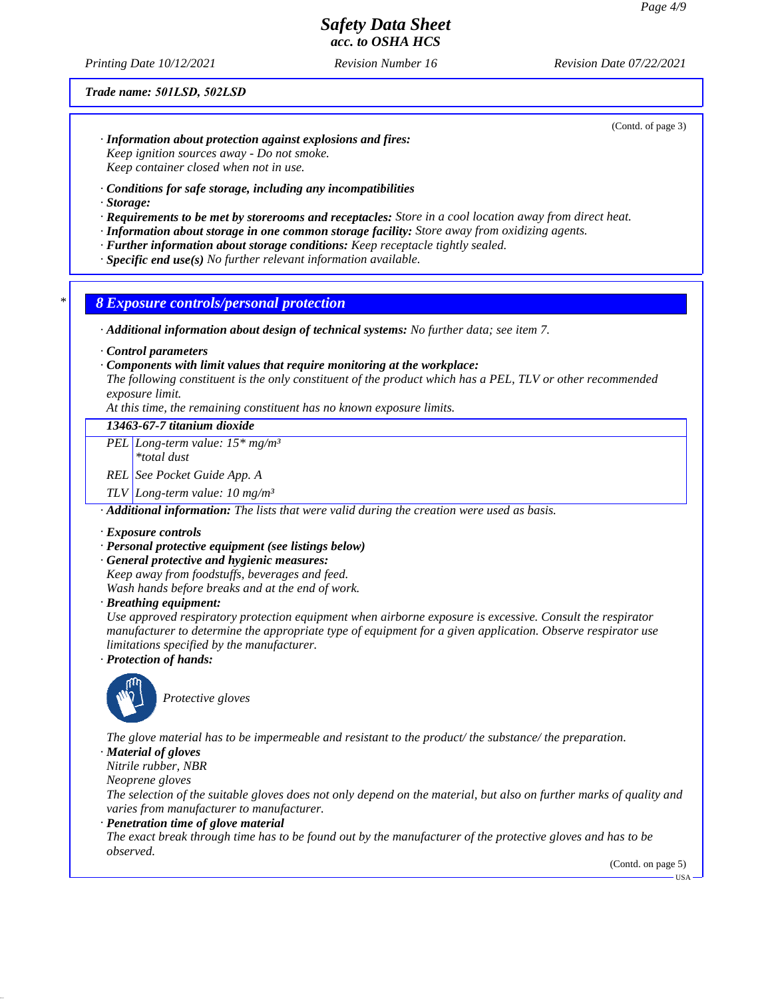*Printing Date 10/12/2021 Revision Number 16 Revision Date 07/22/2021*

#### *Trade name: 501LSD, 502LSD*

(Contd. of page 3)

- *· Information about protection against explosions and fires: Keep ignition sources away - Do not smoke. Keep container closed when not in use.*
- *· Conditions for safe storage, including any incompatibilities*
- *· Storage:*
- *· Requirements to be met by storerooms and receptacles: Store in a cool location away from direct heat.*
- *· Information about storage in one common storage facility: Store away from oxidizing agents.*
- *· Further information about storage conditions: Keep receptacle tightly sealed.*
- *· Specific end use(s) No further relevant information available.*

### *\* 8 Exposure controls/personal protection*

*· Additional information about design of technical systems: No further data; see item 7.*

*· Control parameters*

#### *· Components with limit values that require monitoring at the workplace:*

*The following constituent is the only constituent of the product which has a PEL, TLV or other recommended exposure limit.*

*At this time, the remaining constituent has no known exposure limits.*

### *13463-67-7 titanium dioxide*

*PEL Long-term value: 15\* mg/m³*

*\*total dust*

*REL See Pocket Guide App. A*

*TLV Long-term value: 10 mg/m³*

*· Additional information: The lists that were valid during the creation were used as basis.*

#### *· Exposure controls*

#### *· Personal protective equipment (see listings below)*

*· General protective and hygienic measures:*

*Keep away from foodstuffs, beverages and feed.*

*Wash hands before breaks and at the end of work.*

*· Breathing equipment:*

*Use approved respiratory protection equipment when airborne exposure is excessive. Consult the respirator manufacturer to determine the appropriate type of equipment for a given application. Observe respirator use limitations specified by the manufacturer.*

*· Protection of hands:*



*Protective gloves*

*The glove material has to be impermeable and resistant to the product/ the substance/ the preparation.*

*· Material of gloves*

*Nitrile rubber, NBR*

*Neoprene gloves*

*The selection of the suitable gloves does not only depend on the material, but also on further marks of quality and varies from manufacturer to manufacturer.*

*· Penetration time of glove material*

*The exact break through time has to be found out by the manufacturer of the protective gloves and has to be observed.*

(Contd. on page 5)

**HSA**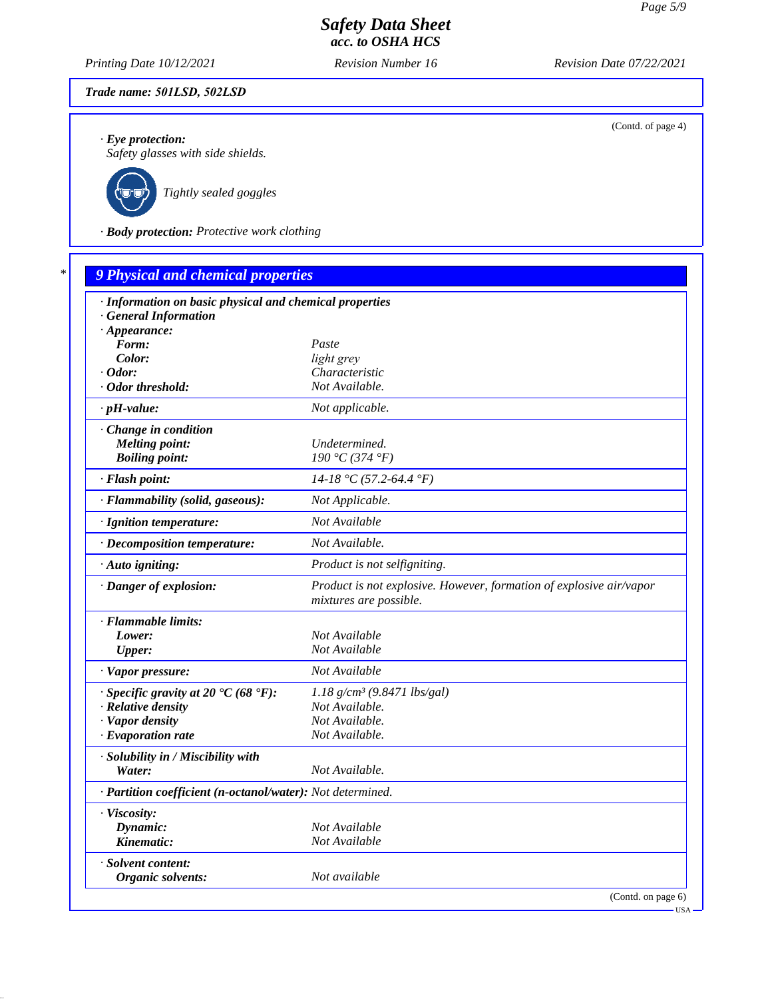*Printing Date 10/12/2021 Revision Number 16 Revision Date 07/22/2021*

### *Trade name: 501LSD, 502LSD*

*· Eye protection:*

*Safety glasses with side shields.*



*Tightly sealed goggles*

*· Body protection: Protective work clothing*

| · Information on basic physical and chemical properties    |                                                                                               |
|------------------------------------------------------------|-----------------------------------------------------------------------------------------------|
| · General Information                                      |                                                                                               |
| $\cdot$ Appearance:                                        |                                                                                               |
| Form:                                                      | Paste                                                                                         |
| Color:                                                     | light grey                                                                                    |
| $\cdot$ Odor:<br>· Odor threshold:                         | Characteristic<br>Not Available.                                                              |
|                                                            |                                                                                               |
| $\cdot$ pH-value:                                          | Not applicable.                                                                               |
| · Change in condition                                      |                                                                                               |
| <b>Melting point:</b>                                      | Undetermined.                                                                                 |
| <b>Boiling point:</b>                                      | 190 °C (374 °F)                                                                               |
| · Flash point:                                             | $14-18$ °C (57.2-64.4 °F)                                                                     |
| · Flammability (solid, gaseous):                           | Not Applicable.                                                                               |
| · Ignition temperature:                                    | Not Available                                                                                 |
| · Decomposition temperature:                               | Not Available.                                                                                |
| · Auto igniting:                                           | Product is not selfigniting.                                                                  |
| · Danger of explosion:                                     | Product is not explosive. However, formation of explosive air/vapor<br>mixtures are possible. |
| · Flammable limits:                                        |                                                                                               |
| Lower:                                                     | Not Available                                                                                 |
| <b>Upper:</b>                                              | Not Available                                                                                 |
| · Vapor pressure:                                          | Not Available                                                                                 |
| $\cdot$ Specific gravity at 20 °C (68 °F):                 | $1.18$ g/cm <sup>3</sup> (9.8471 lbs/gal)                                                     |
| · Relative density                                         | Not Available.                                                                                |
| · Vapor density                                            | Not Available.                                                                                |
| $\cdot$ Evaporation rate                                   | Not Available.                                                                                |
| · Solubility in / Miscibility with                         |                                                                                               |
| Water:                                                     | Not Available.                                                                                |
| · Partition coefficient (n-octanol/water): Not determined. |                                                                                               |
| · Viscosity:                                               |                                                                                               |
| Dynamic:                                                   | Not Available                                                                                 |
| Kinematic:                                                 | Not Available                                                                                 |
| · Solvent content:                                         |                                                                                               |
| Organic solvents:                                          | Not available                                                                                 |

(Contd. of page 4)

USA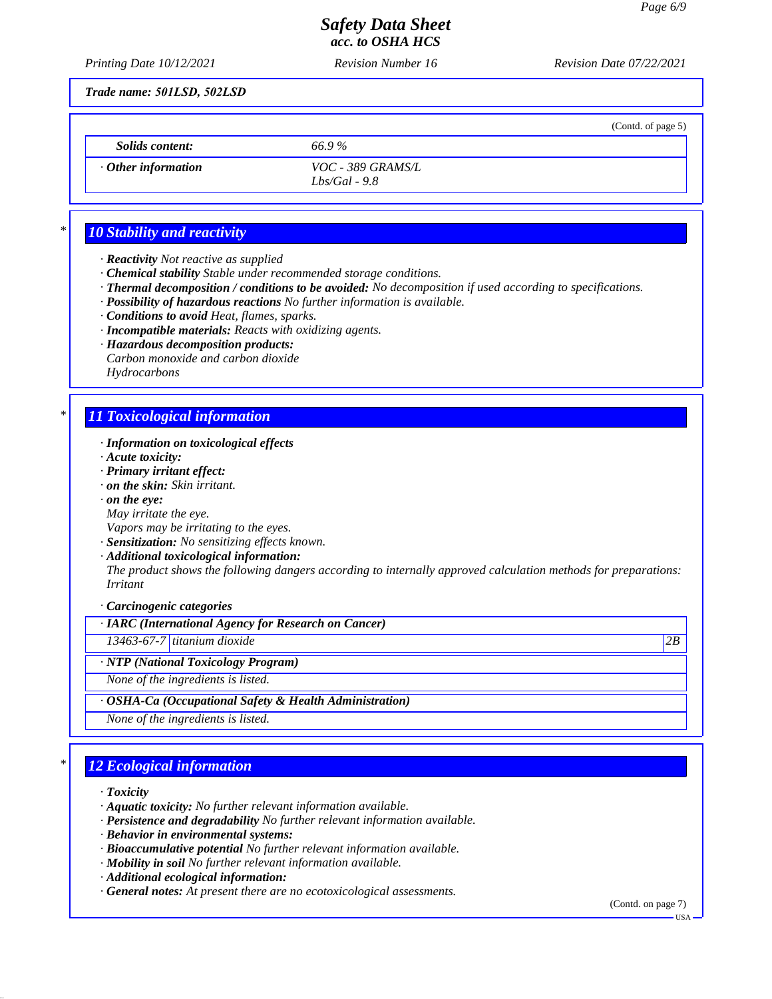(Contd. of page 5)

# *Safety Data Sheet acc. to OSHA HCS*

*Printing Date 10/12/2021 Revision Number 16 Revision Date 07/22/2021*

*Trade name: 501LSD, 502LSD*

*Solids content: 66.9 %*

*· Other information VOC - 389 GRAMS/L Lbs/Gal - 9.8*

# *\* 10 Stability and reactivity*

- *· Reactivity Not reactive as supplied*
- *· Chemical stability Stable under recommended storage conditions.*
- *· Thermal decomposition / conditions to be avoided: No decomposition if used according to specifications.*
- *· Possibility of hazardous reactions No further information is available.*
- *· Conditions to avoid Heat, flames, sparks.*
- *· Incompatible materials: Reacts with oxidizing agents.*
- *· Hazardous decomposition products:*
- *Carbon monoxide and carbon dioxide Hydrocarbons*

# *\* 11 Toxicological information*

- *· Information on toxicological effects*
- *· Acute toxicity:*
- *· Primary irritant effect:*
- *· on the skin: Skin irritant.*
- *· on the eye:*
- *May irritate the eye.*
- *Vapors may be irritating to the eyes.*
- *· Sensitization: No sensitizing effects known.*
- *· Additional toxicological information:*

*The product shows the following dangers according to internally approved calculation methods for preparations: Irritant*

*· Carcinogenic categories*

## *· IARC (International Agency for Research on Cancer)*

*13463-67-7 titanium dioxide 2B*

*· NTP (National Toxicology Program)*

*None of the ingredients is listed.*

### *· OSHA-Ca (Occupational Safety & Health Administration)*

*None of the ingredients is listed.*

# *\* 12 Ecological information*

- *· Toxicity*
- *· Aquatic toxicity: No further relevant information available.*
- *· Persistence and degradability No further relevant information available.*
- *· Behavior in environmental systems:*
- *· Bioaccumulative potential No further relevant information available.*
- *· Mobility in soil No further relevant information available.*
- *· Additional ecological information:*
- *· General notes: At present there are no ecotoxicological assessments.*

(Contd. on page 7)

USA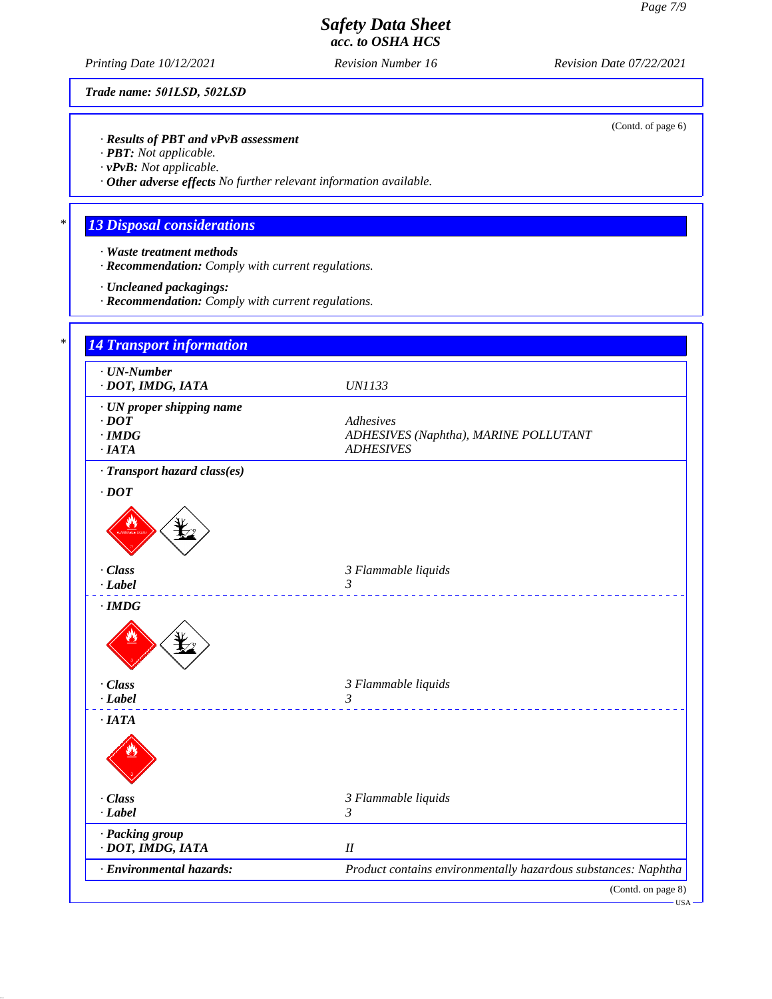(Contd. of page 6)

# *Safety Data Sheet acc. to OSHA HCS*

*Printing Date 10/12/2021 Revision Number 16 Revision Date 07/22/2021*

*Trade name: 501LSD, 502LSD*

*· Results of PBT and vPvB assessment*

*· PBT: Not applicable.*

*· vPvB: Not applicable.*

*· Other adverse effects No further relevant information available.*

# *\* 13 Disposal considerations*

- *· Waste treatment methods*
- *· Recommendation: Comply with current regulations.*
- *· Uncleaned packagings:*
- *· Recommendation: Comply with current regulations.*

| $\cdot$ UN-Number<br>· DOT, IMDG, IATA | <b>UN1133</b>                                                  |
|----------------------------------------|----------------------------------------------------------------|
| · UN proper shipping name              |                                                                |
| $\cdot$ DOT                            | Adhesives                                                      |
| $\cdot$ IMDG                           | ADHESIVES (Naphtha), MARINE POLLUTANT                          |
| $\cdot$ IATA                           | <b>ADHESIVES</b>                                               |
| · Transport hazard class(es)           |                                                                |
| $\cdot$ DOT                            |                                                                |
|                                        |                                                                |
| · Class                                | 3 Flammable liquids                                            |
| $-Label$                               | 3<br>___________________________                               |
| $\cdot$ IMDG                           |                                                                |
| · Class                                | 3 Flammable liquids                                            |
| $-Label$                               | $\mathfrak{Z}$                                                 |
| ·IATA                                  | <u>.</u>                                                       |
|                                        |                                                                |
|                                        |                                                                |
| · Class                                | 3 Flammable liquids                                            |
| $-Label$                               | 3                                                              |
| · Packing group                        |                                                                |
| · DOT, IMDG, IATA                      | I                                                              |
|                                        | Product contains environmentally hazardous substances: Naphtha |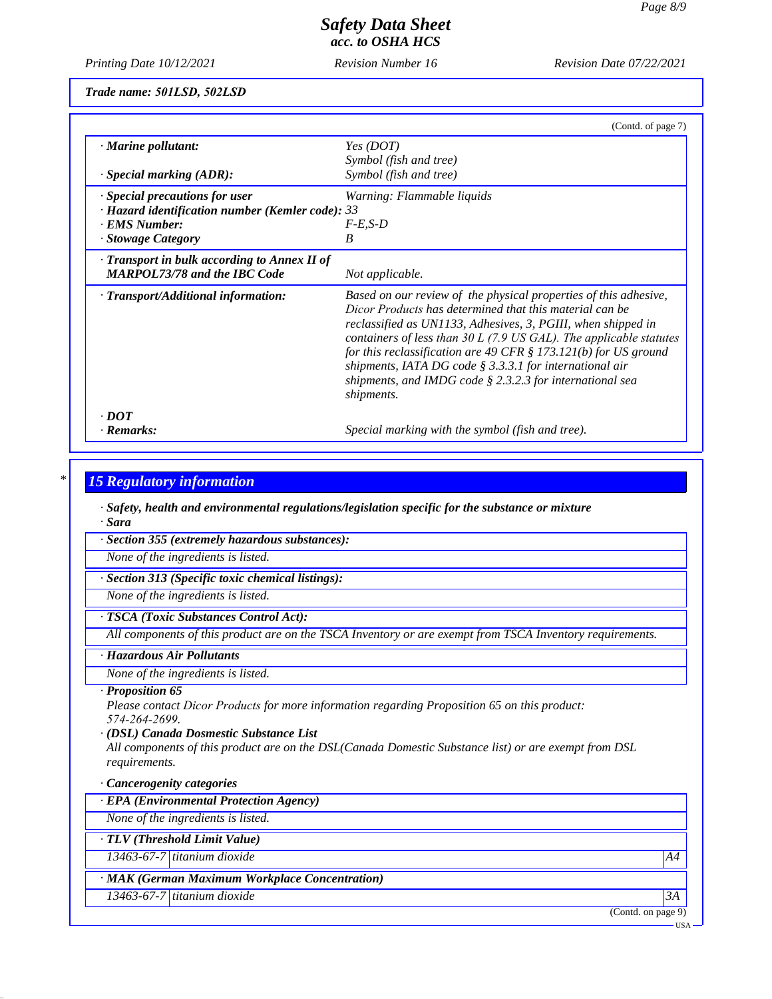*Printing Date 10/12/2021 Revision Number 16 Revision Date 07/22/2021*

*Trade name: 501LSD, 502LSD*

|                                                        | (Contd. of page 7)                                                                                                                                                                                                                                                                                                                                                                                                                                                                   |
|--------------------------------------------------------|--------------------------------------------------------------------------------------------------------------------------------------------------------------------------------------------------------------------------------------------------------------------------------------------------------------------------------------------------------------------------------------------------------------------------------------------------------------------------------------|
| $\cdot$ Marine pollutant:                              | Yes (DOT)                                                                                                                                                                                                                                                                                                                                                                                                                                                                            |
|                                                        | Symbol (fish and tree)                                                                                                                                                                                                                                                                                                                                                                                                                                                               |
| $\cdot$ Special marking (ADR):                         | Symbol (fish and tree)                                                                                                                                                                                                                                                                                                                                                                                                                                                               |
| $\cdot$ Special precautions for user                   | Warning: Flammable liquids                                                                                                                                                                                                                                                                                                                                                                                                                                                           |
| $\cdot$ Hazard identification number (Kemler code): 33 |                                                                                                                                                                                                                                                                                                                                                                                                                                                                                      |
| · EMS Number:                                          | $F-E.S-D$                                                                                                                                                                                                                                                                                                                                                                                                                                                                            |
| · Stowage Category                                     | B                                                                                                                                                                                                                                                                                                                                                                                                                                                                                    |
| $\cdot$ Transport in bulk according to Annex II of     |                                                                                                                                                                                                                                                                                                                                                                                                                                                                                      |
| <b>MARPOL73/78 and the IBC Code</b>                    | Not applicable.                                                                                                                                                                                                                                                                                                                                                                                                                                                                      |
| · Transport/Additional information:                    | Based on our review of the physical properties of this adhesive,<br>Dicor Products has determined that this material can be<br>reclassified as UN1133, Adhesives, 3, PGIII, when shipped in<br>containers of less than $30 L$ (7.9 US GAL). The applicable statutes<br>for this reclassification are 49 CFR $\S$ 173.121(b) for US ground<br>shipments, IATA DG code $\S$ 3.3.3.1 for international air<br>shipments, and IMDG code $\S$ 2.3.2.3 for international sea<br>shipments. |
| $\cdot$ DOT                                            |                                                                                                                                                                                                                                                                                                                                                                                                                                                                                      |
| · Remarks:                                             | Special marking with the symbol (fish and tree).                                                                                                                                                                                                                                                                                                                                                                                                                                     |

## *\* 15 Regulatory information*

*· Safety, health and environmental regulations/legislation specific for the substance or mixture · Sara*

*· Section 355 (extremely hazardous substances):*

*None of the ingredients is listed.*

*· Section 313 (Specific toxic chemical listings):*

*None of the ingredients is listed.*

### *· TSCA (Toxic Substances Control Act):*

*All components of this product are on the TSCA Inventory or are exempt from TSCA Inventory requirements.*

### *· Hazardous Air Pollutants*

*None of the ingredients is listed.*

### *· Proposition 65*

*Please contact Dicor Products for more information regarding Proposition 65 on this product: 574-264-2699.*

#### *· (DSL) Canada Dosmestic Substance List*

*All components of this product are on the DSL(Canada Domestic Substance list) or are exempt from DSL requirements.*

### *· Cancerogenity categories*

*· EPA (Environmental Protection Agency)*

*None of the ingredients is listed.*

*· TLV (Threshold Limit Value)*

*13463-67-7 titanium dioxide A4*

## *· MAK (German Maximum Workplace Concentration)*

*13463-67-7 titanium dioxide 3A*

(Contd. on page 9)

USA